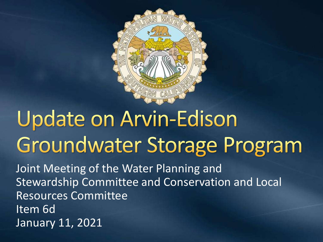

# **Update on Arvin-Edison** Groundwater Storage Program

Joint Meeting of the Water Planning and Stewardship Committee and Conservation and Local Resources Committee Item 6d January 11, 2021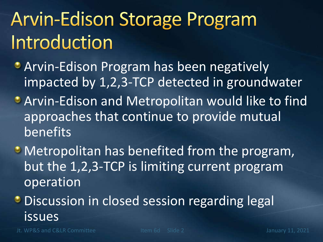## **Arvin-Edison Storage Program** Introduction

- **Arvin-Edison Program has been negatively** impacted by 1,2,3-TCP detected in groundwater
- **Arvin-Edison and Metropolitan would like to find** approaches that continue to provide mutual benefits
- Metropolitan has benefited from the program, but the 1,2,3-TCP is limiting current program operation
- **Discussion in closed session regarding legal** issues

Jt. WP&S and C&LR Committee The Item 6d Slide 2 January 11, 2021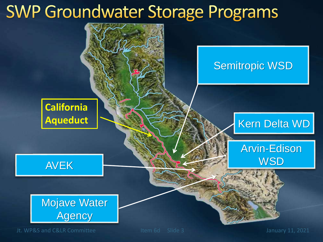#### **SWP Groundwater Storage Programs**

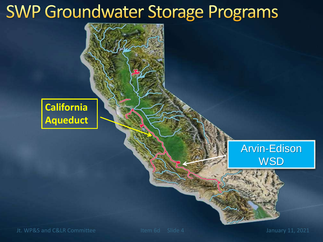#### **SWP Groundwater Storage Programs**

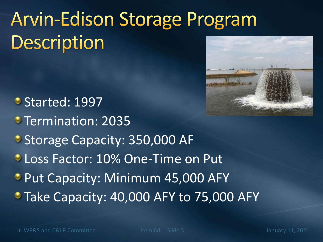## **Arvin-Edison Storage Program** Description



- Started: 1997
- **Termination: 2035**
- Storage Capacity: 350,000 AF
- **C** Loss Factor: 10% One-Time on Put
- **Put Capacity: Minimum 45,000 AFY**
- Take Capacity: 40,000 AFY to 75,000 AFY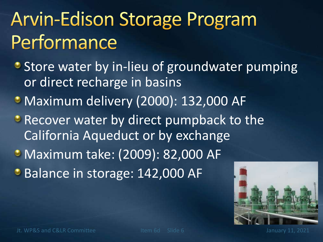## **Arvin-Edison Storage Program** Performance

- **Store water by in-lieu of groundwater pumping** or direct recharge in basins
- **Maximum delivery (2000): 132,000 AF**
- **P** Recover water by direct pumpback to the California Aqueduct or by exchange
- Maximum take: (2009): 82,000 AF
- **Balance in storage: 142,000 AF**



Jt. WP&S and C&LR Committee The Item 6d Slide 6 January 11, 2021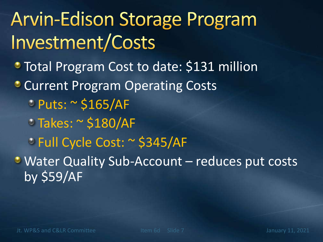## **Arvin-Edison Storage Program** Investment/Costs

- Total Program Cost to date: \$131 million
- **Current Program Operating Costs** 
	- Puts: ~ \$165/AF
	- Takes: ~ \$180/AF
	- Full Cycle Cost: ~ \$345/AF

Water Quality Sub-Account – reduces put costs by \$59/AF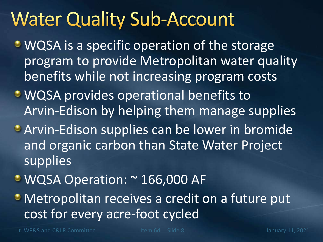#### **Water Quality Sub-Account**

- WQSA is a specific operation of the storage program to provide Metropolitan water quality benefits while not increasing program costs
- **WQSA** provides operational benefits to Arvin-Edison by helping them manage supplies
- **Arvin-Edison supplies can be lower in bromide** and organic carbon than State Water Project supplies
- WQSA Operation: ~ 166,000 AF
- Metropolitan receives a credit on a future put cost for every acre-foot cycled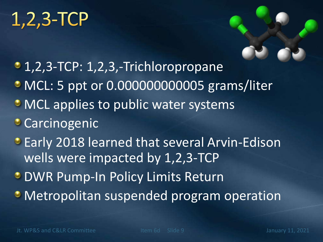#### $1,2,3$ -TCP

- 1,2,3-TCP: 1,2,3,-Trichloropropane
- MCL: 5 ppt or 0.000000000005 grams/liter
- MCL applies to public water systems
- **Carcinogenic**
- **Early 2018 learned that several Arvin-Edison** wells were impacted by 1,2,3-TCP
- **DWR Pump-In Policy Limits Return**
- Metropolitan suspended program operation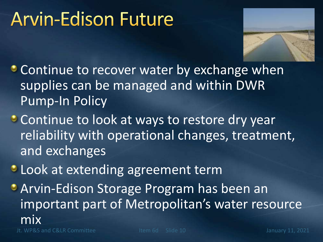#### **Arvin-Edison Future**



- **Continue to recover water by exchange when** supplies can be managed and within DWR Pump-In Policy
- Continue to look at ways to restore dry year reliability with operational changes, treatment, and exchanges
- **C** Look at extending agreement term
- **Arvin-Edison Storage Program has been an** important part of Metropolitan's water resource mix

Jt. WP&S and C&LR Committee The Item 6d Slide 10 January 11, 2021